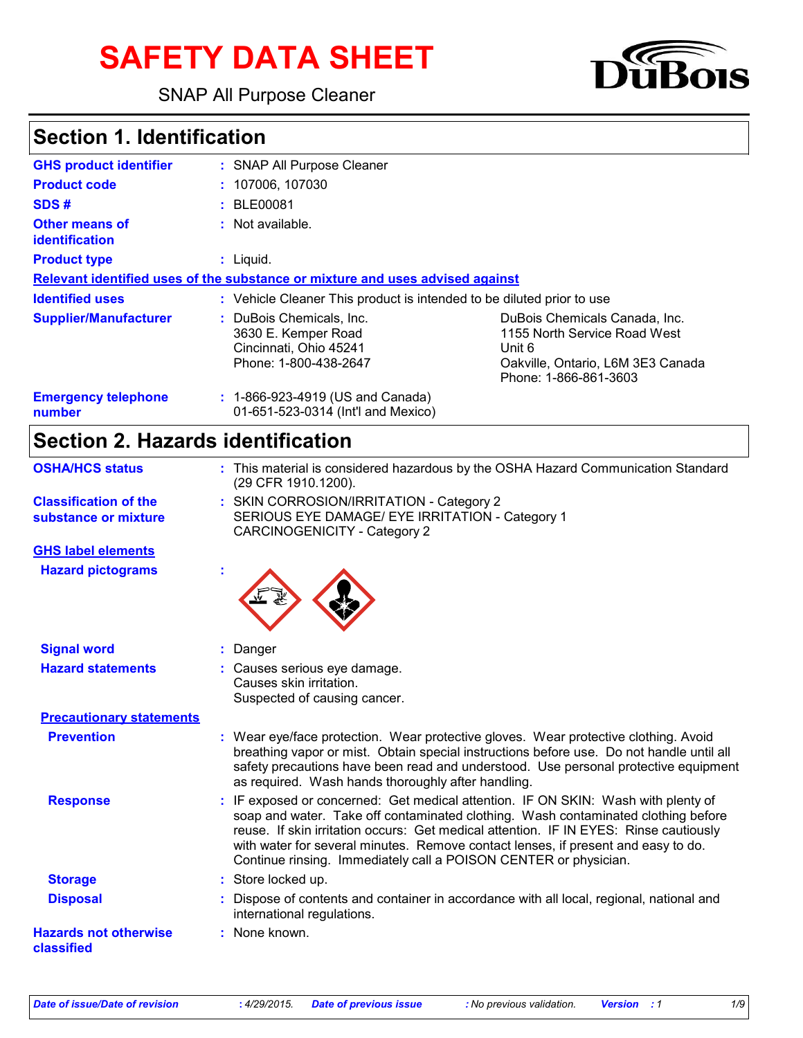# **SAFETY DATA SHEET**

SNAP All Purpose Cleaner



## **Section 1. Identification**

| <b>GHS product identifier</b>           | : SNAP All Purpose Cleaner                                                                         |                                                                                                                                       |  |  |
|-----------------------------------------|----------------------------------------------------------------------------------------------------|---------------------------------------------------------------------------------------------------------------------------------------|--|--|
| <b>Product code</b>                     | : 107006.107030                                                                                    |                                                                                                                                       |  |  |
| SDS#                                    | : BLE00081                                                                                         |                                                                                                                                       |  |  |
| Other means of<br><i>identification</i> | $:$ Not available.                                                                                 |                                                                                                                                       |  |  |
| <b>Product type</b>                     | $:$ Liquid.                                                                                        |                                                                                                                                       |  |  |
|                                         | Relevant identified uses of the substance or mixture and uses advised against                      |                                                                                                                                       |  |  |
| <b>Identified uses</b>                  | : Vehicle Cleaner This product is intended to be diluted prior to use                              |                                                                                                                                       |  |  |
| <b>Supplier/Manufacturer</b>            | : DuBois Chemicals, Inc.<br>3630 E. Kemper Road<br>Cincinnati, Ohio 45241<br>Phone: 1-800-438-2647 | DuBois Chemicals Canada, Inc.<br>1155 North Service Road West<br>Unit 6<br>Oakville, Ontario, L6M 3E3 Canada<br>Phone: 1-866-861-3603 |  |  |
| <b>Emergency telephone</b><br>number    | : 1-866-923-4919 (US and Canada)<br>01-651-523-0314 (Int'l and Mexico)                             |                                                                                                                                       |  |  |

## **Section 2. Hazards identification**

| <b>OSHA/HCS status</b>                               | : This material is considered hazardous by the OSHA Hazard Communication Standard<br>(29 CFR 1910.1200).                                                                                                                                                                                                                                                                                                                 |  |  |
|------------------------------------------------------|--------------------------------------------------------------------------------------------------------------------------------------------------------------------------------------------------------------------------------------------------------------------------------------------------------------------------------------------------------------------------------------------------------------------------|--|--|
| <b>Classification of the</b><br>substance or mixture | : SKIN CORROSION/IRRITATION - Category 2<br>SERIOUS EYE DAMAGE/ EYE IRRITATION - Category 1<br><b>CARCINOGENICITY - Category 2</b>                                                                                                                                                                                                                                                                                       |  |  |
| <b>GHS label elements</b>                            |                                                                                                                                                                                                                                                                                                                                                                                                                          |  |  |
| <b>Hazard pictograms</b>                             |                                                                                                                                                                                                                                                                                                                                                                                                                          |  |  |
| <b>Signal word</b>                                   | : Danger                                                                                                                                                                                                                                                                                                                                                                                                                 |  |  |
| <b>Hazard statements</b>                             | : Causes serious eye damage.<br>Causes skin irritation.<br>Suspected of causing cancer.                                                                                                                                                                                                                                                                                                                                  |  |  |
| <b>Precautionary statements</b>                      |                                                                                                                                                                                                                                                                                                                                                                                                                          |  |  |
| <b>Prevention</b>                                    | : Wear eye/face protection. Wear protective gloves. Wear protective clothing. Avoid<br>breathing vapor or mist. Obtain special instructions before use. Do not handle until all<br>safety precautions have been read and understood. Use personal protective equipment<br>as required. Wash hands thoroughly after handling.                                                                                             |  |  |
| <b>Response</b>                                      | : IF exposed or concerned: Get medical attention. IF ON SKIN: Wash with plenty of<br>soap and water. Take off contaminated clothing. Wash contaminated clothing before<br>reuse. If skin irritation occurs: Get medical attention. IF IN EYES: Rinse cautiously<br>with water for several minutes. Remove contact lenses, if present and easy to do.<br>Continue rinsing. Immediately call a POISON CENTER or physician. |  |  |
| <b>Storage</b>                                       | : Store locked up.                                                                                                                                                                                                                                                                                                                                                                                                       |  |  |
| <b>Disposal</b>                                      | : Dispose of contents and container in accordance with all local, regional, national and<br>international regulations.                                                                                                                                                                                                                                                                                                   |  |  |
| <b>Hazards not otherwise</b><br>classified           | : None known.                                                                                                                                                                                                                                                                                                                                                                                                            |  |  |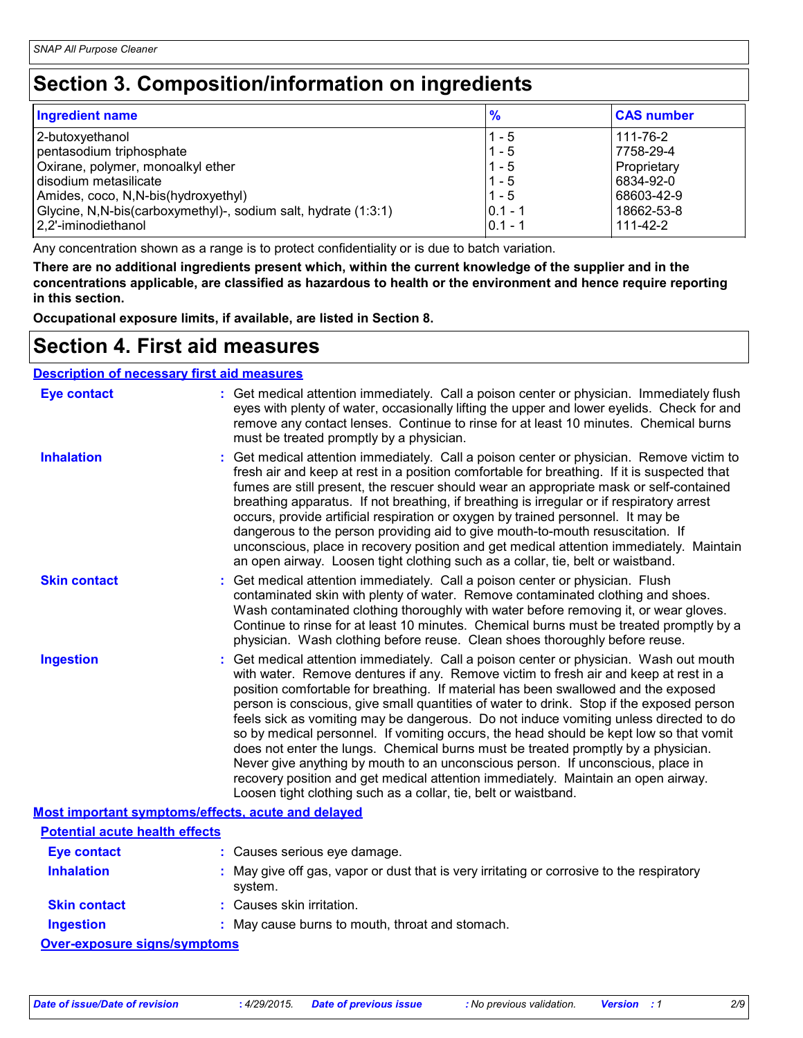## **Section 3. Composition/information on ingredients**

| <b>Ingredient name</b>                                           | $\frac{9}{6}$ | <b>CAS number</b> |
|------------------------------------------------------------------|---------------|-------------------|
| 2-butoxyethanol                                                  | $1 - 5$       | 111-76-2          |
| pentasodium triphosphate                                         | $1 - 5$       | 7758-29-4         |
| Oxirane, polymer, monoalkyl ether                                | $1 - 5$       | Proprietary       |
| disodium metasilicate                                            | $1 - 5$       | 6834-92-0         |
| Amides, coco, N, N-bis (hydroxyethyl)                            | $1 - 5$       | 68603-42-9        |
| Glycine, N, N-bis (carboxymethyl)-, sodium salt, hydrate (1:3:1) | $0.1 - 1$     | 18662-53-8        |
| 2,2'-iminodiethanol                                              | $ 0.1 - 1$    | 111-42-2          |

Any concentration shown as a range is to protect confidentiality or is due to batch variation.

**There are no additional ingredients present which, within the current knowledge of the supplier and in the concentrations applicable, are classified as hazardous to health or the environment and hence require reporting in this section.**

**Occupational exposure limits, if available, are listed in Section 8.**

### **Section 4. First aid measures**

#### **Description of necessary first aid measures**

| <b>Eye contact</b>                                 | : Get medical attention immediately. Call a poison center or physician. Immediately flush<br>eyes with plenty of water, occasionally lifting the upper and lower eyelids. Check for and<br>remove any contact lenses. Continue to rinse for at least 10 minutes. Chemical burns<br>must be treated promptly by a physician.                                                                                                                                                                                                                                                                                                                                                                                                                                                                                                                                                         |
|----------------------------------------------------|-------------------------------------------------------------------------------------------------------------------------------------------------------------------------------------------------------------------------------------------------------------------------------------------------------------------------------------------------------------------------------------------------------------------------------------------------------------------------------------------------------------------------------------------------------------------------------------------------------------------------------------------------------------------------------------------------------------------------------------------------------------------------------------------------------------------------------------------------------------------------------------|
| <b>Inhalation</b>                                  | : Get medical attention immediately. Call a poison center or physician. Remove victim to<br>fresh air and keep at rest in a position comfortable for breathing. If it is suspected that<br>fumes are still present, the rescuer should wear an appropriate mask or self-contained<br>breathing apparatus. If not breathing, if breathing is irregular or if respiratory arrest<br>occurs, provide artificial respiration or oxygen by trained personnel. It may be<br>dangerous to the person providing aid to give mouth-to-mouth resuscitation. If<br>unconscious, place in recovery position and get medical attention immediately. Maintain<br>an open airway. Loosen tight clothing such as a collar, tie, belt or waistband.                                                                                                                                                  |
| <b>Skin contact</b>                                | : Get medical attention immediately. Call a poison center or physician. Flush<br>contaminated skin with plenty of water. Remove contaminated clothing and shoes.<br>Wash contaminated clothing thoroughly with water before removing it, or wear gloves.<br>Continue to rinse for at least 10 minutes. Chemical burns must be treated promptly by a<br>physician. Wash clothing before reuse. Clean shoes thoroughly before reuse.                                                                                                                                                                                                                                                                                                                                                                                                                                                  |
| <b>Ingestion</b>                                   | : Get medical attention immediately. Call a poison center or physician. Wash out mouth<br>with water. Remove dentures if any. Remove victim to fresh air and keep at rest in a<br>position comfortable for breathing. If material has been swallowed and the exposed<br>person is conscious, give small quantities of water to drink. Stop if the exposed person<br>feels sick as vomiting may be dangerous. Do not induce vomiting unless directed to do<br>so by medical personnel. If vomiting occurs, the head should be kept low so that vomit<br>does not enter the lungs. Chemical burns must be treated promptly by a physician.<br>Never give anything by mouth to an unconscious person. If unconscious, place in<br>recovery position and get medical attention immediately. Maintain an open airway.<br>Loosen tight clothing such as a collar, tie, belt or waistband. |
| Most important symptoms/effects, acute and delayed |                                                                                                                                                                                                                                                                                                                                                                                                                                                                                                                                                                                                                                                                                                                                                                                                                                                                                     |
| <b>Potential acute health effects</b>              |                                                                                                                                                                                                                                                                                                                                                                                                                                                                                                                                                                                                                                                                                                                                                                                                                                                                                     |

| PULBITURI ACULB HEAILH BITBULS |                                                                                                      |
|--------------------------------|------------------------------------------------------------------------------------------------------|
| Eye contact                    | : Causes serious eye damage.                                                                         |
| <b>Inhalation</b>              | : May give off gas, vapor or dust that is very irritating or corrosive to the respiratory<br>system. |
| <b>Skin contact</b>            | : Causes skin irritation.                                                                            |
| <b>Ingestion</b>               | : May cause burns to mouth, throat and stomach.                                                      |
| Over-exposure signs/symptoms   |                                                                                                      |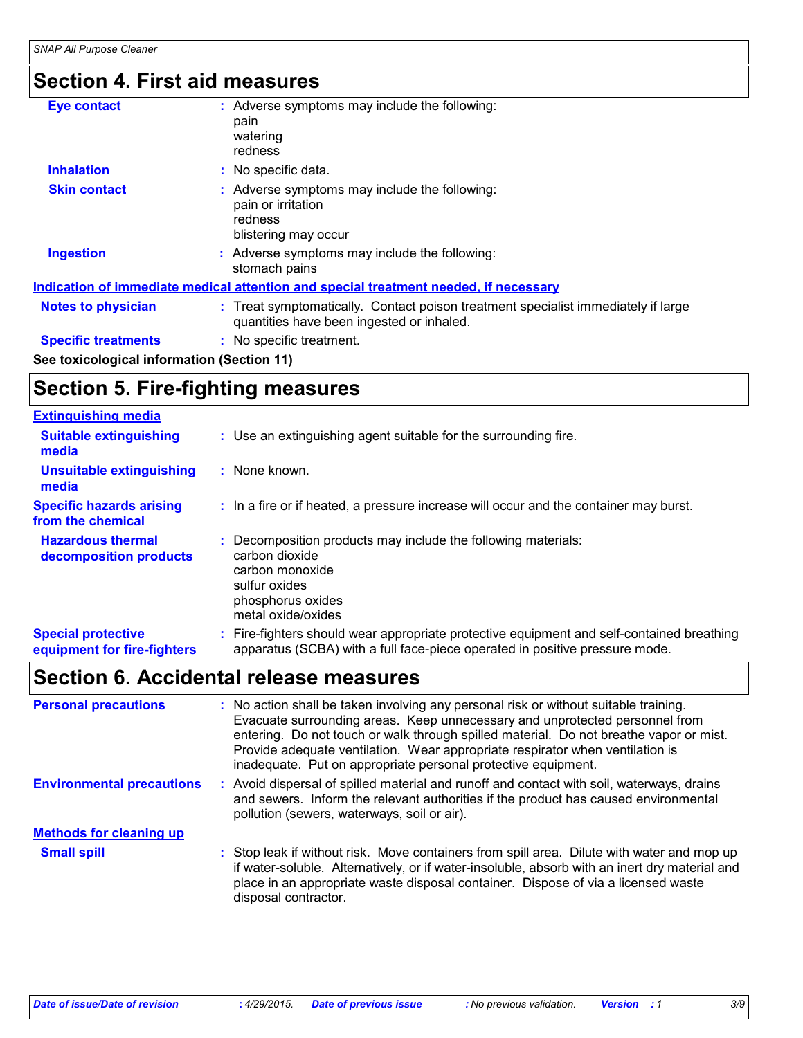## **Section 4. First aid measures**

| <b>Eve contact</b>                         | : Adverse symptoms may include the following:<br>pain<br>watering                                                              |
|--------------------------------------------|--------------------------------------------------------------------------------------------------------------------------------|
|                                            | redness                                                                                                                        |
| <b>Inhalation</b>                          | : No specific data.                                                                                                            |
| <b>Skin contact</b>                        | : Adverse symptoms may include the following:<br>pain or irritation<br>redness<br>blistering may occur                         |
| <b>Ingestion</b>                           | : Adverse symptoms may include the following:<br>stomach pains                                                                 |
|                                            | Indication of immediate medical attention and special treatment needed, if necessary                                           |
| <b>Notes to physician</b>                  | : Treat symptomatically. Contact poison treatment specialist immediately if large<br>quantities have been ingested or inhaled. |
| <b>Specific treatments</b>                 | : No specific treatment.                                                                                                       |
| See toxicological information (Section 11) |                                                                                                                                |

## **Section 5. Fire-fighting measures**

| <b>Extinguishing media</b>                               |                                                                                                                                                                          |  |
|----------------------------------------------------------|--------------------------------------------------------------------------------------------------------------------------------------------------------------------------|--|
| <b>Suitable extinguishing</b><br>media                   | : Use an extinguishing agent suitable for the surrounding fire.                                                                                                          |  |
| Unsuitable extinguishing<br>media                        | : None known.                                                                                                                                                            |  |
| <b>Specific hazards arising</b><br>from the chemical     | : In a fire or if heated, a pressure increase will occur and the container may burst.                                                                                    |  |
| <b>Hazardous thermal</b><br>decomposition products       | Decomposition products may include the following materials:<br>carbon dioxide<br>carbon monoxide<br>sulfur oxides<br>phosphorus oxides<br>metal oxide/oxides             |  |
| <b>Special protective</b><br>equipment for fire-fighters | : Fire-fighters should wear appropriate protective equipment and self-contained breathing<br>apparatus (SCBA) with a full face-piece operated in positive pressure mode. |  |

## **Section 6. Accidental release measures**

| <b>Personal precautions</b>      | : No action shall be taken involving any personal risk or without suitable training.<br>Evacuate surrounding areas. Keep unnecessary and unprotected personnel from<br>entering. Do not touch or walk through spilled material. Do not breathe vapor or mist.<br>Provide adequate ventilation. Wear appropriate respirator when ventilation is<br>inadequate. Put on appropriate personal protective equipment. |
|----------------------------------|-----------------------------------------------------------------------------------------------------------------------------------------------------------------------------------------------------------------------------------------------------------------------------------------------------------------------------------------------------------------------------------------------------------------|
| <b>Environmental precautions</b> | Avoid dispersal of spilled material and runoff and contact with soil, waterways, drains<br>and sewers. Inform the relevant authorities if the product has caused environmental<br>pollution (sewers, waterways, soil or air).                                                                                                                                                                                   |
| <b>Methods for cleaning up</b>   |                                                                                                                                                                                                                                                                                                                                                                                                                 |
| <b>Small spill</b>               | : Stop leak if without risk. Move containers from spill area. Dilute with water and mop up<br>if water-soluble. Alternatively, or if water-insoluble, absorb with an inert dry material and<br>place in an appropriate waste disposal container. Dispose of via a licensed waste<br>disposal contractor.                                                                                                        |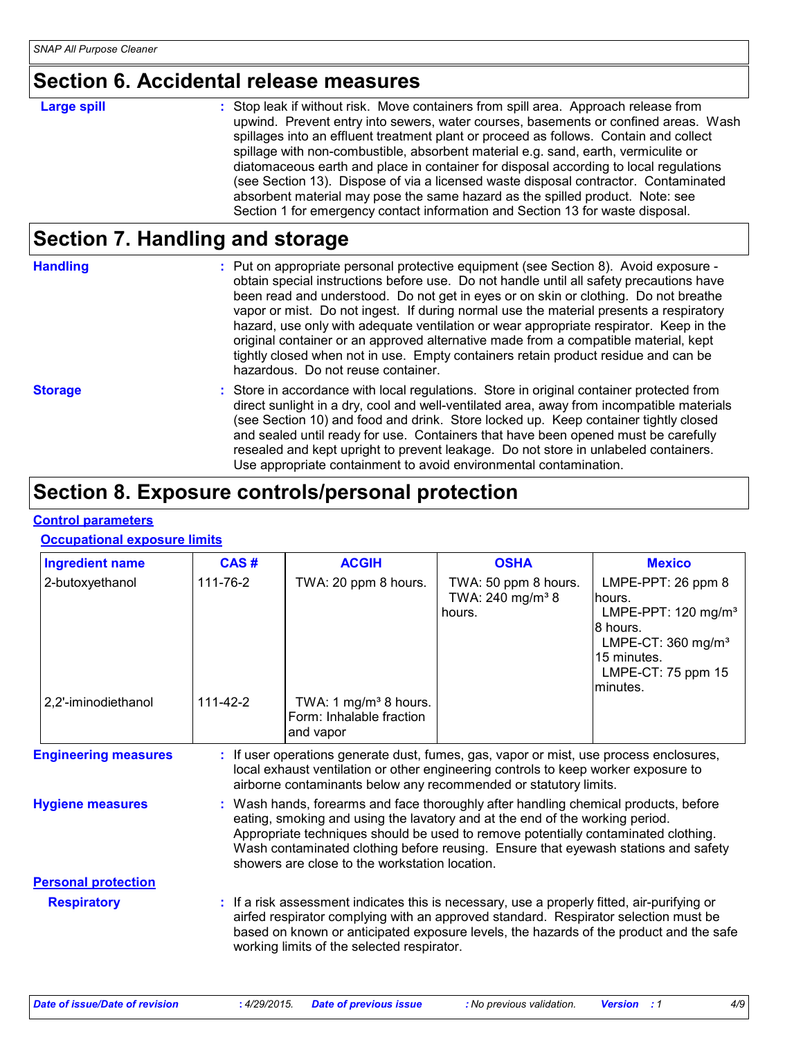### **Section 6. Accidental release measures**

**Large spill Example 20 CE Stop leak if without risk. Move containers from spill area. Approach release from <b>containers** upwind. Prevent entry into sewers, water courses, basements or confined areas. Wash spillages into an effluent treatment plant or proceed as follows. Contain and collect spillage with non-combustible, absorbent material e.g. sand, earth, vermiculite or diatomaceous earth and place in container for disposal according to local regulations (see Section 13). Dispose of via a licensed waste disposal contractor. Contaminated absorbent material may pose the same hazard as the spilled product. Note: see Section 1 for emergency contact information and Section 13 for waste disposal.

## **Section 7. Handling and storage**

**Handling** entries and the Put on appropriate personal protective equipment (see Section 8). Avoid exposure obtain special instructions before use. Do not handle until all safety precautions have been read and understood. Do not get in eyes or on skin or clothing. Do not breathe vapor or mist. Do not ingest. If during normal use the material presents a respiratory hazard, use only with adequate ventilation or wear appropriate respirator. Keep in the original container or an approved alternative made from a compatible material, kept tightly closed when not in use. Empty containers retain product residue and can be hazardous. Do not reuse container.

**Storage** Store in accordance with local regulations. Store in original container protected from direct sunlight in a dry, cool and well-ventilated area, away from incompatible materials (see Section 10) and food and drink. Store locked up. Keep container tightly closed and sealed until ready for use. Containers that have been opened must be carefully resealed and kept upright to prevent leakage. Do not store in unlabeled containers. Use appropriate containment to avoid environmental contamination.

## **Section 8. Exposure controls/personal protection**

#### **Control parameters**

#### **Occupational exposure limits**

| <b>Ingredient name</b>      | CAS#                                                                                                                                                                                                                                                                                                                                                                                            | <b>ACGIH</b>                                                               | <b>OSHA</b>                                                                                                                                                                                                                                                                  | <b>Mexico</b>                                                                                                                                                       |  |
|-----------------------------|-------------------------------------------------------------------------------------------------------------------------------------------------------------------------------------------------------------------------------------------------------------------------------------------------------------------------------------------------------------------------------------------------|----------------------------------------------------------------------------|------------------------------------------------------------------------------------------------------------------------------------------------------------------------------------------------------------------------------------------------------------------------------|---------------------------------------------------------------------------------------------------------------------------------------------------------------------|--|
| 2-butoxyethanol             | 111-76-2                                                                                                                                                                                                                                                                                                                                                                                        | TWA: 20 ppm 8 hours.                                                       | TWA: 50 ppm 8 hours.<br>TWA: 240 mg/m <sup>3</sup> 8<br>hours.                                                                                                                                                                                                               | LMPE-PPT: 26 ppm 8<br>lhours.<br>LMPE-PPT: 120 mg/m <sup>3</sup><br>18 hours.<br>LMPE-CT: $360$ mg/m <sup>3</sup><br>15 minutes.<br>LMPE-CT: 75 ppm 15<br>lminutes. |  |
| 2,2'-iminodiethanol         | 111-42-2                                                                                                                                                                                                                                                                                                                                                                                        | TWA: 1 mg/m <sup>3</sup> 8 hours.<br>Form: Inhalable fraction<br>and vapor |                                                                                                                                                                                                                                                                              |                                                                                                                                                                     |  |
| <b>Engineering measures</b> |                                                                                                                                                                                                                                                                                                                                                                                                 |                                                                            | : If user operations generate dust, fumes, gas, vapor or mist, use process enclosures,<br>local exhaust ventilation or other engineering controls to keep worker exposure to<br>airborne contaminants below any recommended or statutory limits.                             |                                                                                                                                                                     |  |
| <b>Hygiene measures</b>     | Wash hands, forearms and face thoroughly after handling chemical products, before<br>eating, smoking and using the lavatory and at the end of the working period.<br>Appropriate techniques should be used to remove potentially contaminated clothing.<br>Wash contaminated clothing before reusing. Ensure that eyewash stations and safety<br>showers are close to the workstation location. |                                                                            |                                                                                                                                                                                                                                                                              |                                                                                                                                                                     |  |
| <b>Personal protection</b>  |                                                                                                                                                                                                                                                                                                                                                                                                 |                                                                            |                                                                                                                                                                                                                                                                              |                                                                                                                                                                     |  |
| <b>Respiratory</b>          |                                                                                                                                                                                                                                                                                                                                                                                                 | working limits of the selected respirator.                                 | : If a risk assessment indicates this is necessary, use a properly fitted, air-purifying or<br>airfed respirator complying with an approved standard. Respirator selection must be<br>based on known or anticipated exposure levels, the hazards of the product and the safe |                                                                                                                                                                     |  |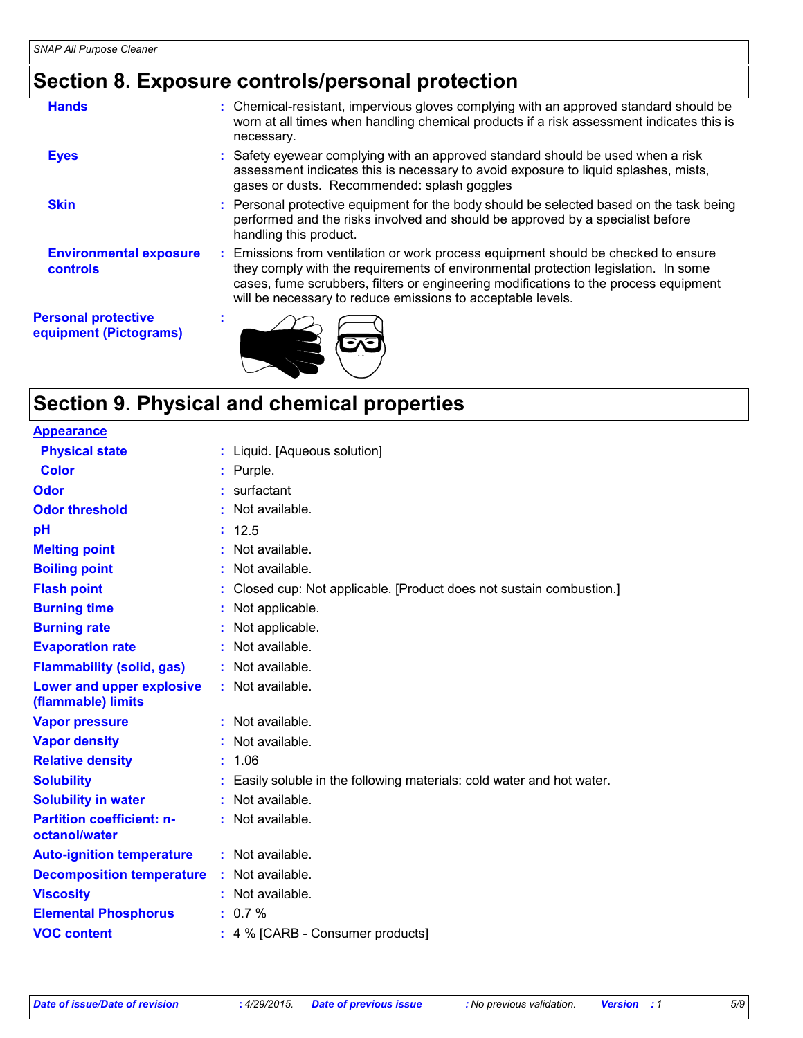## **Section 8. Exposure controls/personal protection**

| <b>Hands</b>                                         | : Chemical-resistant, impervious gloves complying with an approved standard should be<br>worn at all times when handling chemical products if a risk assessment indicates this is<br>necessary.                                                                                                                                 |
|------------------------------------------------------|---------------------------------------------------------------------------------------------------------------------------------------------------------------------------------------------------------------------------------------------------------------------------------------------------------------------------------|
| <b>Eyes</b>                                          | : Safety eyewear complying with an approved standard should be used when a risk<br>assessment indicates this is necessary to avoid exposure to liquid splashes, mists,<br>gases or dusts. Recommended: splash goggles                                                                                                           |
| <b>Skin</b>                                          | : Personal protective equipment for the body should be selected based on the task being<br>performed and the risks involved and should be approved by a specialist before<br>handling this product.                                                                                                                             |
| <b>Environmental exposure</b><br><b>controls</b>     | : Emissions from ventilation or work process equipment should be checked to ensure<br>they comply with the requirements of environmental protection legislation. In some<br>cases, fume scrubbers, filters or engineering modifications to the process equipment<br>will be necessary to reduce emissions to acceptable levels. |
| <b>Personal protective</b><br>equipment (Pictograms) |                                                                                                                                                                                                                                                                                                                                 |

## **Section 9. Physical and chemical properties**

| <b>Appearance</b>                                 |    |                                                                      |
|---------------------------------------------------|----|----------------------------------------------------------------------|
| <b>Physical state</b>                             |    | : Liquid. [Aqueous solution]                                         |
| Color                                             |    | : Purple.                                                            |
| Odor                                              |    | $:$ surfactant                                                       |
| <b>Odor threshold</b>                             |    | Not available.                                                       |
| рH                                                |    | : 12.5                                                               |
| <b>Melting point</b>                              |    | : Not available.                                                     |
| <b>Boiling point</b>                              |    | : Not available.                                                     |
| <b>Flash point</b>                                |    | Closed cup: Not applicable. [Product does not sustain combustion.]   |
| <b>Burning time</b>                               |    | : Not applicable.                                                    |
| <b>Burning rate</b>                               |    | Not applicable.                                                      |
| <b>Evaporation rate</b>                           |    | Not available.                                                       |
| <b>Flammability (solid, gas)</b>                  |    | : Not available.                                                     |
| Lower and upper explosive<br>(flammable) limits   |    | : Not available.                                                     |
| <b>Vapor pressure</b>                             |    | : Not available.                                                     |
| <b>Vapor density</b>                              |    | : Not available.                                                     |
| <b>Relative density</b>                           | t. | 1.06                                                                 |
| <b>Solubility</b>                                 |    | Easily soluble in the following materials: cold water and hot water. |
| <b>Solubility in water</b>                        |    | Not available.                                                       |
| <b>Partition coefficient: n-</b><br>octanol/water |    | : Not available.                                                     |
| <b>Auto-ignition temperature</b>                  |    | : Not available.                                                     |
| <b>Decomposition temperature</b>                  |    | : Not available.                                                     |
| <b>Viscosity</b>                                  |    | : Not available.                                                     |
| <b>Elemental Phosphorus</b>                       |    | $: 0.7 \%$                                                           |
| <b>VOC content</b>                                |    | : 4 % [CARB - Consumer products]                                     |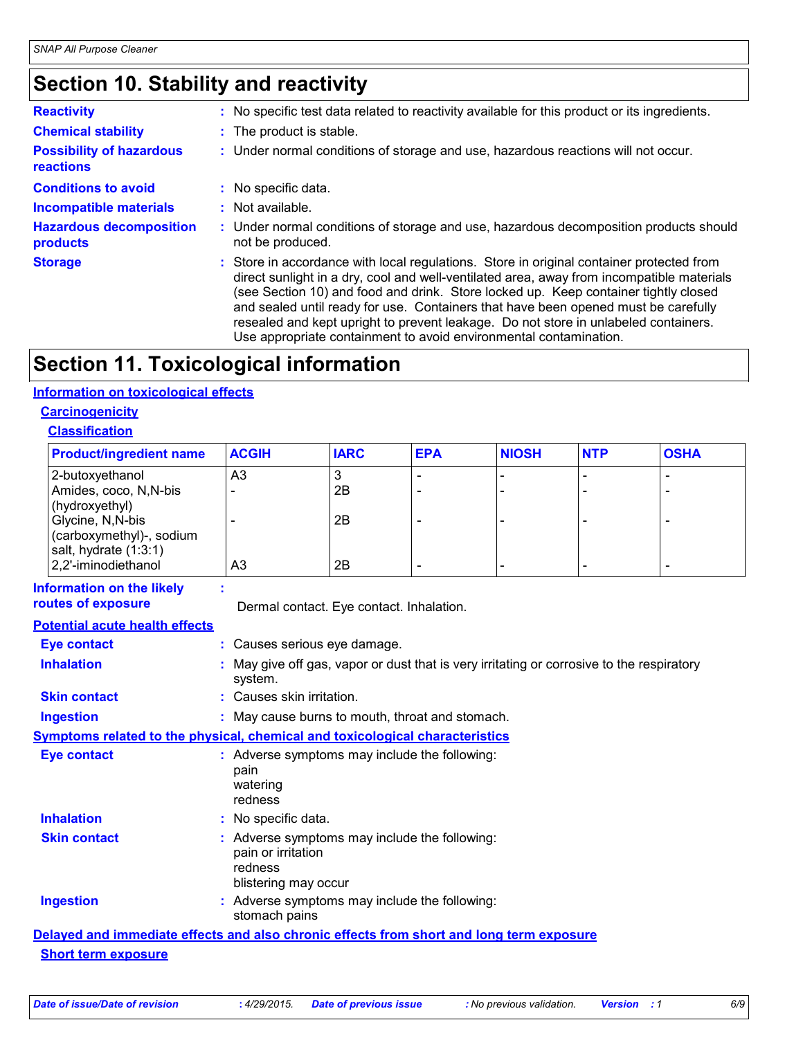## **Section 10. Stability and reactivity**

| <b>Reactivity</b>                                   | : No specific test data related to reactivity available for this product or its ingredients.                                                                                                                                                                                                                                                                                                                                                                                                                                   |
|-----------------------------------------------------|--------------------------------------------------------------------------------------------------------------------------------------------------------------------------------------------------------------------------------------------------------------------------------------------------------------------------------------------------------------------------------------------------------------------------------------------------------------------------------------------------------------------------------|
| <b>Chemical stability</b>                           | : The product is stable.                                                                                                                                                                                                                                                                                                                                                                                                                                                                                                       |
| <b>Possibility of hazardous</b><br><b>reactions</b> | : Under normal conditions of storage and use, hazardous reactions will not occur.                                                                                                                                                                                                                                                                                                                                                                                                                                              |
| <b>Conditions to avoid</b>                          | No specific data.                                                                                                                                                                                                                                                                                                                                                                                                                                                                                                              |
| <b>Incompatible materials</b>                       | $:$ Not available.                                                                                                                                                                                                                                                                                                                                                                                                                                                                                                             |
| <b>Hazardous decomposition</b><br>products          | : Under normal conditions of storage and use, hazardous decomposition products should<br>not be produced.                                                                                                                                                                                                                                                                                                                                                                                                                      |
| <b>Storage</b>                                      | : Store in accordance with local regulations. Store in original container protected from<br>direct sunlight in a dry, cool and well-ventilated area, away from incompatible materials<br>(see Section 10) and food and drink. Store locked up. Keep container tightly closed<br>and sealed until ready for use. Containers that have been opened must be carefully<br>resealed and kept upright to prevent leakage. Do not store in unlabeled containers.<br>Use appropriate containment to avoid environmental contamination. |

## **Section 11. Toxicological information**

#### **Information on toxicological effects**

#### **Carcinogenicity**

#### **Classification**

| <b>Product/ingredient name</b> | <b>ACGIH</b>   | <b>IARC</b> | <b>EPA</b> | <b>NIOSH</b> | <b>NTP</b> | <b>OSHA</b> |
|--------------------------------|----------------|-------------|------------|--------------|------------|-------------|
| 2-butoxyethanol                | A <sub>3</sub> |             |            |              |            |             |
| Amides, coco, N, N-bis         |                | 2B          |            |              |            |             |
| (hydroxyethyl)                 |                |             |            |              |            |             |
| Glycine, N, N-bis              |                | 2B          |            |              |            |             |
| (carboxymethyl)-, sodium       |                |             |            |              |            |             |
| salt, hydrate $(1:3:1)$        |                |             |            |              |            |             |
| 2,2'-iminodiethanol            | A3             | 2B          |            |              | -          |             |

| <b>Information on the likely</b><br>routes of exposure | Dermal contact. Eye contact. Inhalation.                                                               |
|--------------------------------------------------------|--------------------------------------------------------------------------------------------------------|
| <b>Potential acute health effects</b>                  |                                                                                                        |
| <b>Eye contact</b>                                     | : Causes serious eye damage.                                                                           |
| <b>Inhalation</b>                                      | May give off gas, vapor or dust that is very irritating or corrosive to the respiratory<br>system.     |
| <b>Skin contact</b>                                    | : Causes skin irritation.                                                                              |
| <b>Ingestion</b>                                       | : May cause burns to mouth, throat and stomach.                                                        |
|                                                        | <b>Symptoms related to the physical, chemical and toxicological characteristics</b>                    |
| Eye contact                                            | : Adverse symptoms may include the following:<br>pain<br>watering<br>redness                           |
| <b>Inhalation</b>                                      | : No specific data.                                                                                    |
| <b>Skin contact</b>                                    | : Adverse symptoms may include the following:<br>pain or irritation<br>redness<br>blistering may occur |
| <b>Ingestion</b>                                       | : Adverse symptoms may include the following:<br>stomach pains                                         |
|                                                        | Delayed and immediate effects and also chronic effects from short and long term exposure               |
| Obsard Lames, arrival arrival                          |                                                                                                        |

### **Short term exposure**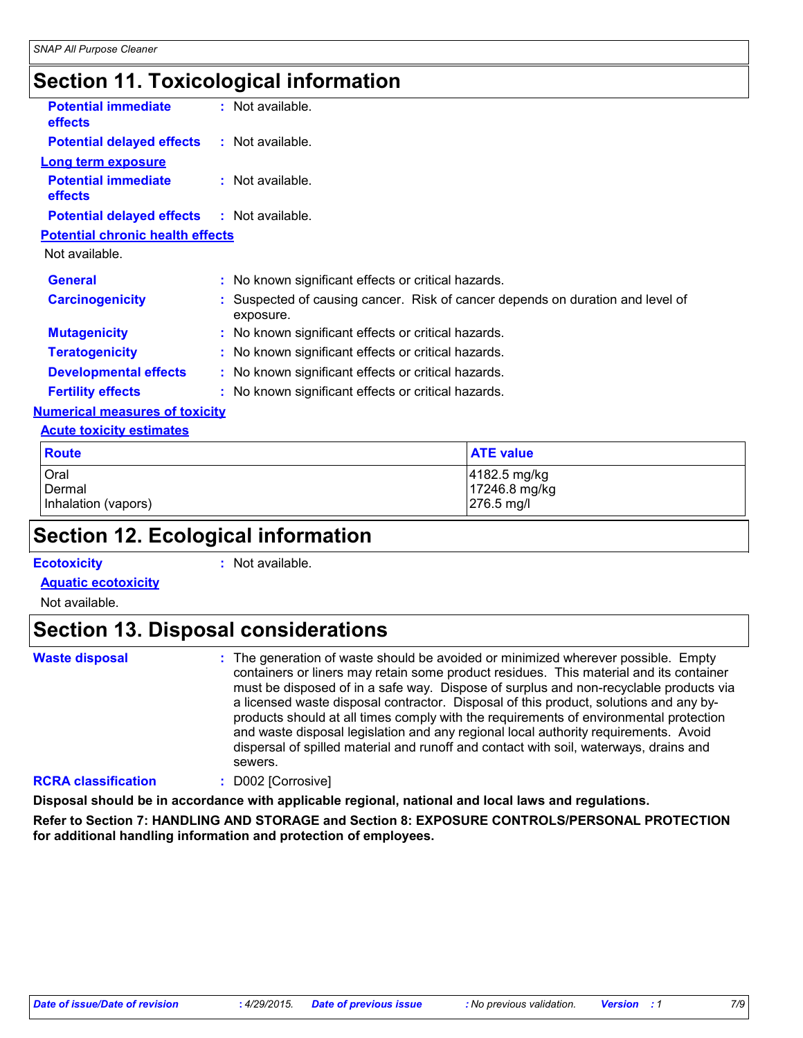## **Section 11. Toxicological information**

| <b>Potential immediate</b><br>effects   | $:$ Not available.                                                                        |  |  |
|-----------------------------------------|-------------------------------------------------------------------------------------------|--|--|
| <b>Potential delayed effects</b>        | : Not available.                                                                          |  |  |
| Long term exposure                      |                                                                                           |  |  |
| <b>Potential immediate</b><br>effects   | $:$ Not available.                                                                        |  |  |
| <b>Potential delayed effects</b>        | : Not available.                                                                          |  |  |
| <b>Potential chronic health effects</b> |                                                                                           |  |  |
| Not available.                          |                                                                                           |  |  |
| <b>General</b>                          | : No known significant effects or critical hazards.                                       |  |  |
| <b>Carcinogenicity</b>                  | Suspected of causing cancer. Risk of cancer depends on duration and level of<br>exposure. |  |  |
| <b>Mutagenicity</b>                     | : No known significant effects or critical hazards.                                       |  |  |
| <b>Teratogenicity</b>                   | : No known significant effects or critical hazards.                                       |  |  |
| <b>Developmental effects</b>            | : No known significant effects or critical hazards.                                       |  |  |
| <b>Fertility effects</b>                | : No known significant effects or critical hazards.                                       |  |  |
| <b>Numerical measures of toxicity</b>   |                                                                                           |  |  |
| <b>Acute toxicity estimates</b>         |                                                                                           |  |  |
| <b>Route</b>                            | <b>ATE value</b>                                                                          |  |  |
| Oral<br>Dermal                          | 4182.5 mg/kg<br>17246.8 mg/kg                                                             |  |  |

## **Section 12. Ecological information**

#### **Ecotoxicity :**

: Not available.

Inhalation (vapors) 276.5 mg/l

**Aquatic ecotoxicity**

Not available.

## **Section 13. Disposal considerations**

**Waste disposal :**

The generation of waste should be avoided or minimized wherever possible. Empty containers or liners may retain some product residues. This material and its container must be disposed of in a safe way. Dispose of surplus and non-recyclable products via a licensed waste disposal contractor. Disposal of this product, solutions and any byproducts should at all times comply with the requirements of environmental protection and waste disposal legislation and any regional local authority requirements. Avoid dispersal of spilled material and runoff and contact with soil, waterways, drains and sewers.

#### **RCRA classification :** D002 [Corrosive]

**Disposal should be in accordance with applicable regional, national and local laws and regulations.**

**Refer to Section 7: HANDLING AND STORAGE and Section 8: EXPOSURE CONTROLS/PERSONAL PROTECTION for additional handling information and protection of employees.**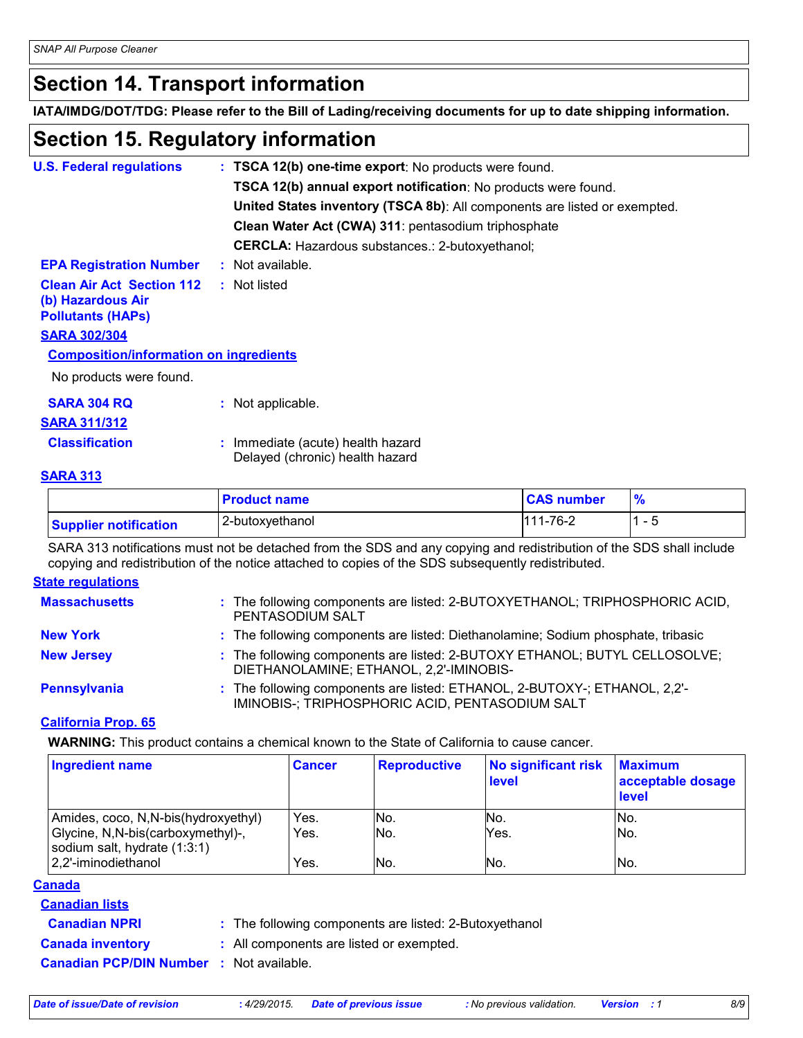## **Section 14. Transport information**

**IATA/IMDG/DOT/TDG: Please refer to the Bill of Lading/receiving documents for up to date shipping information.**

## **Section 15. Regulatory information**

| <b>U.S. Federal regulations</b>                                                   | : TSCA 12(b) one-time export: No products were found.                     |
|-----------------------------------------------------------------------------------|---------------------------------------------------------------------------|
|                                                                                   | TSCA 12(b) annual export notification: No products were found.            |
|                                                                                   | United States inventory (TSCA 8b): All components are listed or exempted. |
|                                                                                   | Clean Water Act (CWA) 311: pentasodium triphosphate                       |
|                                                                                   | <b>CERCLA:</b> Hazardous substances.: 2-butoxyethanol;                    |
| <b>EPA Registration Number</b>                                                    | $:$ Not available.                                                        |
| <b>Clean Air Act Section 112</b><br>(b) Hazardous Air<br><b>Pollutants (HAPS)</b> | : Not listed                                                              |
| <b>SARA 302/304</b>                                                               |                                                                           |
| <b>Composition/information on ingredients</b>                                     |                                                                           |
| No products were found.                                                           |                                                                           |
| <b>SARA 304 RQ</b>                                                                | : Not applicable.                                                         |
| <u>SARA 311/312</u>                                                               |                                                                           |
| <b>Classification</b>                                                             | : Immediate (acute) health hazard<br>Delayed (chronic) health hazard      |
| <b>BABA AJA</b>                                                                   |                                                                           |

#### **SARA 313**

|                              | <b>Product name</b> | <b>CAS number</b> | $\frac{9}{6}$ |
|------------------------------|---------------------|-------------------|---------------|
| <b>Supplier notification</b> | 2-butoxyethanol     | 111-76-2          | - 5           |

SARA 313 notifications must not be detached from the SDS and any copying and redistribution of the SDS shall include copying and redistribution of the notice attached to copies of the SDS subsequently redistributed.

#### **State regulations**

| <b>Massachusetts</b> | : The following components are listed: 2-BUTOXYETHANOL; TRIPHOSPHORIC ACID,<br>PENTASODIUM SALT                              |
|----------------------|------------------------------------------------------------------------------------------------------------------------------|
| <b>New York</b>      | : The following components are listed: Diethanolamine; Sodium phosphate, tribasic                                            |
| <b>New Jersey</b>    | : The following components are listed: 2-BUTOXY ETHANOL; BUTYL CELLOSOLVE;<br>DIETHANOLAMINE; ETHANOL, 2,2'-IMINOBIS-        |
| <b>Pennsylvania</b>  | : The following components are listed: ETHANOL, 2-BUTOXY-; ETHANOL, 2,2'-<br>IMINOBIS-; TRIPHOSPHORIC ACID, PENTASODIUM SALT |

#### **California Prop. 65**

**WARNING:** This product contains a chemical known to the State of California to cause cancer.

| <b>Ingredient name</b>                                             | <b>Cancer</b> | <b>Reproductive</b> | No significant risk<br>level | <b>Maximum</b><br>acceptable dosage<br>level |
|--------------------------------------------------------------------|---------------|---------------------|------------------------------|----------------------------------------------|
| Amides, coco, N,N-bis(hydroxyethyl)                                | Yes.          | No.                 | No.                          | INo.                                         |
| Glycine, N, N-bis(carboxymethyl)-,<br>sodium salt, hydrate (1:3:1) | Yes.          | No.                 | Yes.                         | No.                                          |
| 2,2'-iminodiethanol                                                | Yes.          | lNo.                | No.                          | No.                                          |

#### **Canada**

- **Canadian lists**
- **Canadian NPRI :** The following components are listed: 2-Butoxyethanol

**Canada inventory :** All components are listed or exempted.

**Canadian PCP/DIN Number :** Not available.